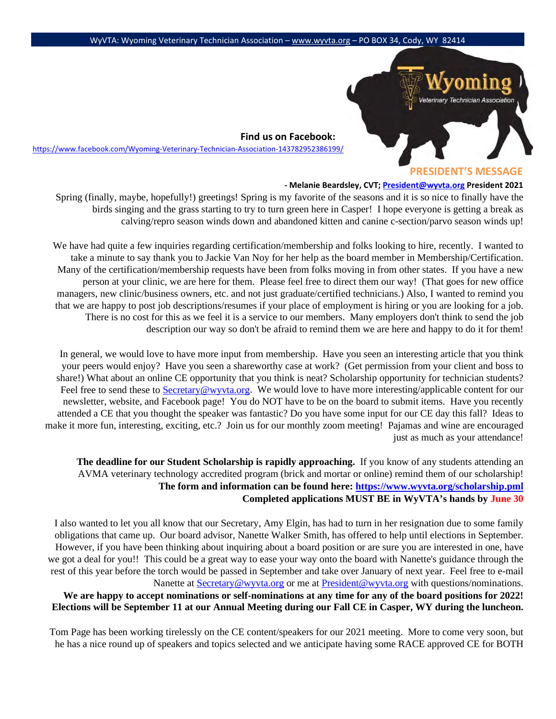

**Find us on Facebook:**  <https://www.facebook.com/Wyoming-Veterinary-Technician-Association-143782952386199/>

### **PRESIDENT'S MESSAGE**

## **- Melanie Beardsley, CVT; President@wyvta.org President 2021**

Spring (finally, maybe, hopefully!) greetings! Spring is my favorite of the seasons and it is so nice to finally have the birds singing and the grass starting to try to turn green here in Casper! I hope everyone is getting a break as calving/repro season winds down and abandoned kitten and canine c-section/parvo season winds up!

We have had quite a few inquiries regarding certification/membership and folks looking to hire, recently. I wanted to take a minute to say thank you to Jackie Van Noy for her help as the board member in Membership/Certification. Many of the certification/membership requests have been from folks moving in from other states. If you have a new person at your clinic, we are here for them. Please feel free to direct them our way! (That goes for new office managers, new clinic/business owners, etc. and not just graduate/certified technicians.) Also, I wanted to remind you that we are happy to post job descriptions/resumes if your place of employment is hiring or you are looking for a job. There is no cost for this as we feel it is a service to our members. Many employers don't think to send the job description our way so don't be afraid to remind them we are here and happy to do it for them!

In general, we would love to have more input from membership. Have you seen an interesting article that you think your peers would enjoy? Have you seen a shareworthy case at work? (Get permission from your client and boss to share!) What about an online CE opportunity that you think is neat? Scholarship opportunity for technician students? Feel free to send these to [Secretary@wyvta.org.](mailto:Secretary@wyvta.org) We would love to have more interesting/applicable content for our newsletter, website, and Facebook page! You do NOT have to be on the board to submit items. Have you recently attended a CE that you thought the speaker was fantastic? Do you have some input for our CE day this fall? Ideas to make it more fun, interesting, exciting, etc.? Join us for our monthly zoom meeting! Pajamas and wine are encouraged just as much as your attendance!

**The deadline for our Student Scholarship is rapidly approaching.** If you know of any students attending an AVMA veterinary technology accredited program (brick and mortar or online) remind them of our scholarship! **The form and information can be found here:<https://www.wyvta.org/scholarship.pml> Completed applications MUST BE in WyVTA's hands by June 30**

I also wanted to let you all know that our Secretary, Amy Elgin, has had to turn in her resignation due to some family obligations that came up. Our board advisor, Nanette Walker Smith, has offered to help until elections in September. However, if you have been thinking about inquiring about a board position or are sure you are interested in one, have we got a deal for you!! This could be a great way to ease your way onto the board with Nanette's guidance through the rest of this year before the torch would be passed in September and take over January of next year. Feel free to e-mail Nanette at [Secretary@wyvta.org](mailto:Secretary@wyvta.org) or me at [President@wyvta.org](mailto:President@wyvta.org) with questions/nominations.

**We are happy to accept nominations or self-nominations at any time for any of the board positions for 2022! Elections will be September 11 at our Annual Meeting during our Fall CE in Casper, WY during the luncheon.**

Tom Page has been working tirelessly on the CE content/speakers for our 2021 meeting. More to come very soon, but he has a nice round up of speakers and topics selected and we anticipate having some RACE approved CE for BOTH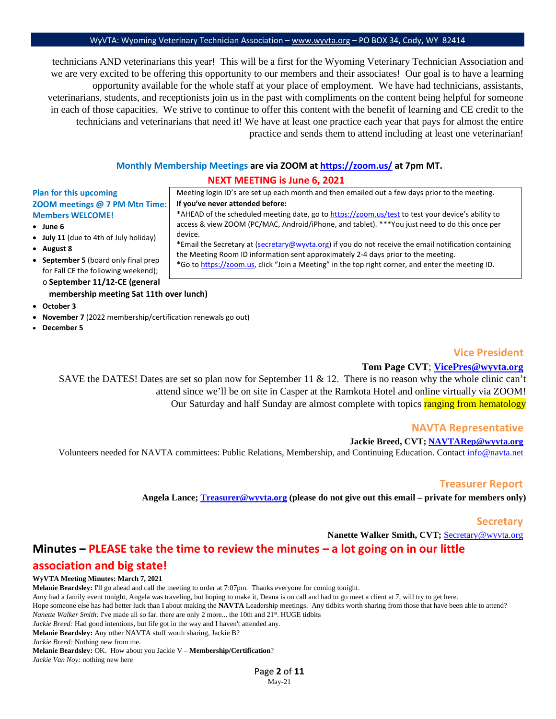technicians AND veterinarians this year! This will be a first for the Wyoming Veterinary Technician Association and we are very excited to be offering this opportunity to our members and their associates! Our goal is to have a learning opportunity available for the whole staff at your place of employment. We have had technicians, assistants, veterinarians, students, and receptionists join us in the past with compliments on the content being helpful for someone in each of those capacities. We strive to continue to offer this content with the benefit of learning and CE credit to the technicians and veterinarians that need it! We have at least one practice each year that pays for almost the entire practice and sends them to attend including at least one veterinarian!

# **Monthly Membership Meetings are via ZOOM [at https://zoom.us/](https://zoom.us/) [a](https://zoom.us/)t 7pm MT. NEXT MEETING is June 6, 2021**

## **Plan for this upcoming ZOOM meetings @ 7 PM Mtn Time: Members WELCOME!**

- **June 6**
- **July 11** (due to 4th of July holiday)
- **August 8**
- **September 5** (board only final prep for Fall CE the following weekend);
	- o **September 11/12-CE (general membership meeting Sat 11th over lunch)**
- **October 3**
- **November 7** (2022 membership/certification renewals go out)
- **December 5**

Meeting login ID's are set up each month and then emailed out a few days prior to the meeting. **If you've never attended before:** 

\*AHEAD of the scheduled meeting date, go [to https://zoom.us/test](https://zoom.us/test) [to](https://zoom.us/test) test your device's ability to access & view ZOOM (PC/MAC, Android/iPhone, and tablet). \*\*\*You just need to do this once per device.

\*Email the Secretary at (secretary@wyvta.org) if you do not receive the email notification containing the Meeting Room ID information sent approximately 2-4 days prior to the meeting.

\*Go [to https://zoom.us,](https://zoom.us/) click "Join a Meeting" in the top right corner, and enter the meeting ID.

## **Vice President**

## **Tom Page CVT**; **VicePres@wyvta.org**

SAVE the DATES! Dates are set so plan now for September 11 & 12. There is no reason why the whole clinic can't attend since we'll be on site in Casper at the Ramkota Hotel and online virtually via ZOOM! Our Saturday and half Sunday are almost complete with topics ranging from hematology

### **NAVTA Representative**

## **Jackie Breed, CVT; [NAVTARep@wyvta.org](mailto:NAVTARep@wyvta.org)**

Volunteers needed for NAVTA committees: Public Relations, Membership, and Continuing Education. Contact [info@navta.net](mailto:info@navta.net) 

## **Treasurer Report**

**Angela Lance; [Treasurer@wyvta.org](mailto:Treasurer@wyvta.org) (please do not give out this email – private for members only)**

### **Secretary**

**Nanette Walker Smith, CVT;** Secretary@wyvta.org

# **Minutes – PLEASE take the time to review the minutes – a lot going on in our little**

## **association and big state!**

### **WyVTA Meeting Minutes: March 7, 2021**

**Melanie Beardsley:** I'll go ahead and call the meeting to order at 7:07pm. Thanks everyone for coming tonight. Amy had a family event tonight, Angela was traveling, but hoping to make it, Deana is on call and had to go meet a client at 7, will try to get here. Hope someone else has had better luck than I about making the **NAVTA** Leadership meetings. Any tidbits worth sharing from those that have been able to attend? *Nanette Walker Smith:* I've made all so far. there are only 2 more... the 10th and 21<sup>st</sup>. HUGE tidbits *Jackie Breed:* Had good intentions, but life got in the way and I haven't attended any. **Melanie Beardsley:** Any other NAVTA stuff worth sharing, Jackie B?

*Jackie Breed:* Nothing new from me.

**Melanie Beardsley:** OK. How about you Jackie V – **Membership/Certification**?

*Jackie Van Noy:* nothing new here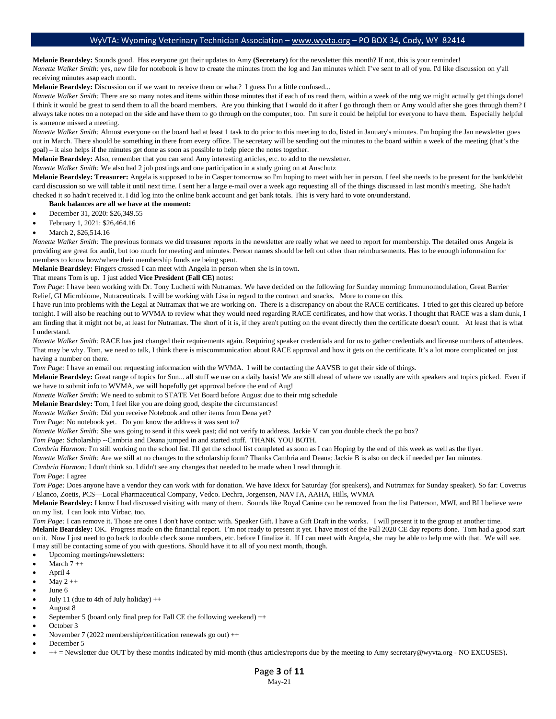**Melanie Beardsley:** Sounds good. Has everyone got their updates to Amy **(Secretary)** for the newsletter this month? If not, this is your reminder! *Nanette Walker Smith: yes, new file for notebook is how to create the minutes from the log and Jan minutes which I've sent to all of you. I'd like discussion on y'all* receiving minutes asap each month.

**Melanie Beardsley:** Discussion on if we want to receive them or what? I guess I'm a little confused...

*Nanette Walker Smith:* There are so many notes and items within those minutes that if each of us read them, within a week of the mtg we might actually get things done! I think it would be great to send them to all the board members. Are you thinking that I would do it after I go through them or Amy would after she goes through them? I always take notes on a notepad on the side and have them to go through on the computer, too. I'm sure it could be helpful for everyone to have them. Especially helpful is someone missed a meeting.

*Nanette Walker Smith:* Almost everyone on the board had at least 1 task to do prior to this meeting to do, listed in January's minutes. I'm hoping the Jan newsletter goes out in March. There should be something in there from every office. The secretary will be sending out the minutes to the board within a week of the meeting (that's the goal) – it also helps if the minutes get done as soon as possible to help piece the notes together.

**Melanie Beardsley:** Also, remember that you can send Amy interesting articles, etc. to add to the newsletter.

*Nanette Walker Smith:* We also had 2 job postings and one participation in a study going on at Anschutz

**Melanie Beardsley: Treasurer:** Angela is supposed to be in Casper tomorrow so I'm hoping to meet with her in person. I feel she needs to be present for the bank/debit card discussion so we will table it until next time. I sent her a large e-mail over a week ago requesting all of the things discussed in last month's meeting. She hadn't checked it so hadn't received it. I did log into the online bank account and get bank totals. This is very hard to vote on/understand.

#### **Bank balances are all we have at the moment:**

- December 31, 2020: \$26,349.55
- February 1, 2021: \$26,464.16
- March 2, \$26,514.16

*Nanette Walker Smith:* The previous formats we did treasurer reports in the newsletter are really what we need to report for membership. The detailed ones Angela is providing are great for audit, but too much for meeting and minutes. Person names should be left out other than reimbursements. Has to be enough information for members to know how/where their membership funds are being spent.

**Melanie Beardsley:** Fingers crossed I can meet with Angela in person when she is in town.

#### That means Tom is up. I just added **Vice President (Fall CE)** notes:

*Tom Page:* I have been working with Dr. Tony Luchetti with Nutramax. We have decided on the following for Sunday morning: Immunomodulation, Great Barrier Relief, GI Microbiome, Nutraceuticals. I will be working with Lisa in regard to the contract and snacks. More to come on this.

I have run into problems with the Legal at Nutramax that we are working on. There is a discrepancy on about the RACE certificates. I tried to get this cleared up before tonight. I will also be reaching out to WVMA to review what they would need regarding RACE certificates, and how that works. I thought that RACE was a slam dunk, I am finding that it might not be, at least for Nutramax. The short of it is, if they aren't putting on the event directly then the certificate doesn't count. At least that is what I understand.

*Nanette Walker Smith:* RACE has just changed their requirements again. Requiring speaker credentials and for us to gather credentials and license numbers of attendees. That may be why. Tom, we need to talk, I think there is miscommunication about RACE approval and how it gets on the certificate. It's a lot more complicated on just having a number on there.

*Tom Page:* I have an email out requesting information with the WVMA. I will be contacting the AAVSB to get their side of things.

**Melanie Beardsley:** Great range of topics for Sun... all stuff we use on a daily basis! We are still ahead of where we usually are with speakers and topics picked. Even if we have to submit info to WVMA, we will hopefully get approval before the end of Aug!

*Nanette Walker Smith:* We need to submit to STATE Vet Board before August due to their mtg schedule

**Melanie Beardsley:** Tom, I feel like you are doing good, despite the circumstances!

*Nanette Walker Smith:* Did you receive Notebook and other items from Dena yet?

*Tom Page:* No notebook yet. Do you know the address it was sent to?

*Nanette Walker Smith:* She was going to send it this week past; did not verify to address. Jackie V can you double check the po box?

*Tom Page:* Scholarship --Cambria and Deana jumped in and started stuff. THANK YOU BOTH.

*Cambria Harmon:* I'm still working on the school list. I'll get the school list completed as soon as I can Hoping by the end of this week as well as the flyer.

*Nanette Walker Smith:* Are we still at no changes to the scholarship form? Thanks Cambria and Deana; Jackie B is also on deck if needed per Jan minutes.

*Cambria Harmon:* I don't think so. I didn't see any changes that needed to be made when I read through it.

*Tom Page:* I agree

*Tom Page:* Does anyone have a vendor they can work with for donation. We have Idexx for Saturday (for speakers), and Nutramax for Sunday speaker). So far: Covetrus / Elanco, Zoetis, PCS—Local Pharmaceutical Company, Vedco. Dechra, Jorgensen, NAVTA, AAHA, Hills, WVMA

**Melanie Beardsley:** I know I had discussed visiting with many of them. Sounds like Royal Canine can be removed from the list Patterson, MWI, and BI I believe were on my list. I can look into Virbac, too.

*Tom Page:* I can remove it. Those are ones I don't have contact with. Speaker Gift. I have a Gift Draft in the works. I will present it to the group at another time. Melanie Beardsley: OK. Progress made on the financial report. I'm not ready to present it yet. I have most of the Fall 2020 CE day reports done. Tom had a good start on it. Now I just need to go back to double check some numbers, etc. before I finalize it. If I can meet with Angela, she may be able to help me with that. We will see.

I may still be contacting some of you with questions. Should have it to all of you next month, though.

- Upcoming meetings/newsletters:
- March  $7 + +$
- April 4
- May  $2 ++$
- June 6
- July 11 (due to 4th of July holiday)  $++$
- August 8
- September 5 (board only final prep for Fall CE the following weekend) ++
- October 3 • November 7 (2022 membership/certification renewals go out) ++
- December 5
- ++ = Newsletter due OUT by these months indicated by mid-month (thus articles/reports due by the meeting to Amy secretary@wyvta.org NO EXCUSES)**.**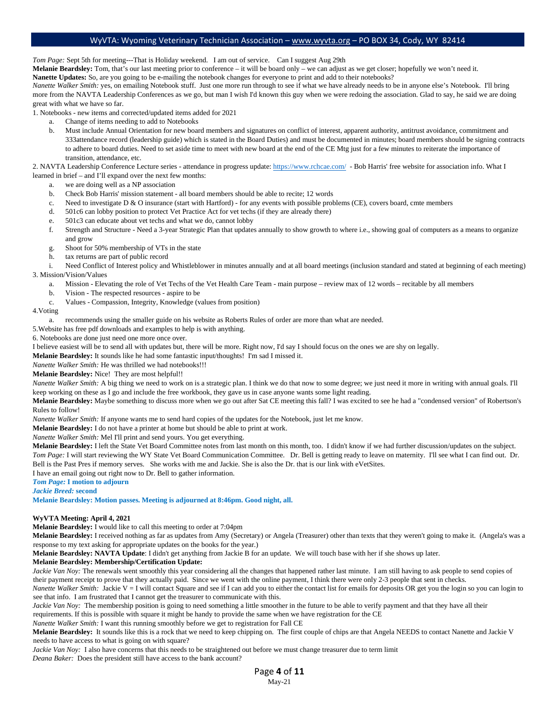*Tom Page:* Sept 5th for meeting---That is Holiday weekend. I am out of service. Can I suggest Aug 29th

**Melanie Beardsley:** Tom, that's our last meeting prior to conference – it will be board only – we can adjust as we get closer; hopefully we won't need it.

**Nanette Updates:** So, are you going to be e-mailing the notebook changes for everyone to print and add to their notebooks?

*Nanette Walker Smith:* yes, on emailing Notebook stuff. Just one more run through to see if what we have already needs to be in anyone else's Notebook. I'll bring more from the NAVTA Leadership Conferences as we go, but man I wish I'd known this guy when we were redoing the association. Glad to say, he said we are doing great with what we have so far.

1. Notebooks - new items and corrected/updated items added for 2021

- a. Change of items needing to add to Notebooks
- b. Must include Annual Orientation for new board members and signatures on conflict of interest, apparent authority, antitrust avoidance, commitment and 333attendance record (leadership guide) which is stated in the Board Duties) and must be documented in minutes; board members should be signing contracts to adhere to board duties. Need to set aside time to meet with new board at the end of the CE Mtg just for a few minutes to reiterate the importance of transition, attendance, etc.

2. NAVTA Leadership Conference Lecture series - attendance in progress update:<https://www.rchcae.com/>- Bob Harris' free website for association info. What I learned in brief – and I'll expand over the next few months:

- a. we are doing well as a NP association
- b. Check Bob Harris' mission statement all board members should be able to recite; 12 words
- c. Need to investigate D & O insurance (start with Hartford) for any events with possible problems (CE), covers board, cmte members
- d. 501c6 can lobby position to protect Vet Practice Act for vet techs (if they are already there)
- e. 501c3 can educate about vet techs and what we do, cannot lobby
- f. Strength and Structure Need a 3-year Strategic Plan that updates annually to show growth to where i.e., showing goal of computers as a means to organize and grow
- g. Shoot for 50% membership of VTs in the state
- h. tax returns are part of public record

i. Need Conflict of Interest policy and Whistleblower in minutes annually and at all board meetings (inclusion standard and stated at beginning of each meeting) 3. Mission/Vision/Values

- a. Mission Elevating the role of Vet Techs of the Vet Health Care Team main purpose review max of 12 words recitable by all members
- b. Vision The respected resources aspire to be
- c. Values Compassion, Integrity, Knowledge (values from position)

#### 4.Voting

a. recommends using the smaller guide on his website as Roberts Rules of order are more than what are needed.

5.Website has free pdf downloads and examples to help is with anything.

6. Notebooks are done just need one more once over.

I believe easiest will be to send all with updates but, there will be more. Right now, I'd say I should focus on the ones we are shy on legally.

**Melanie Beardsley:** It sounds like he had some fantastic input/thoughts! I'm sad I missed it.

*Nanette Walker Smith:* He was thrilled we had notebooks!!!

**Melanie Beardsley:** Nice! They are most helpful!!

*Nanette Walker Smith:* A big thing we need to work on is a strategic plan. I think we do that now to some degree; we just need it more in writing with annual goals. I'll keep working on these as I go and include the free workbook, they gave us in case anyone wants some light reading.

Melanie Beardsley: Maybe something to discuss more when we go out after Sat CE meeting this fall? I was excited to see he had a "condensed version" of Robertson's Rules to follow!

*Nanette Walker Smith:* If anyone wants me to send hard copies of the updates for the Notebook, just let me know.

**Melanie Beardsley:** I do not have a printer at home but should be able to print at work.

*Nanette Walker Smith:* Mel I'll print and send yours. You get everything.

**Melanie Beardsley:** I left the State Vet Board Committee notes from last month on this month, too. I didn't know if we had further discussion/updates on the subject. *Tom Page:* I will start reviewing the WY State Vet Board Communication Committee. Dr. Bell is getting ready to leave on maternity. I'll see what I can find out. Dr. Bell is the Past Pres if memory serves. She works with me and Jackie. She is also the Dr. that is our link with eVetSites.

I have an email going out right now to Dr. Bell to gather information.

## *Tom Page:* **I motion to adjourn**

*Jackie Breed:* **second**

**Melanie Beardsley: Motion passes. Meeting is adjourned at 8:46pm. Good night, all.**

### **WyVTA Meeting: April 4, 2021**

**Melanie Beardsley:** I would like to call this meeting to order at 7:04pm

**Melanie Beardsley:** I received nothing as far as updates from Amy (Secretary) or Angela (Treasurer) other than texts that they weren't going to make it. (Angela's was a response to my text asking for appropriate updates on the books for the year.)

**Melanie Beardsley: NAVTA Update**: I didn't get anything from Jackie B for an update. We will touch base with her if she shows up later.

## **Melanie Beardsley: Membership/Certification Update:**

*Jackie Van Noy:* The renewals went smoothly this year considering all the changes that happened rather last minute. I am still having to ask people to send copies of their payment receipt to prove that they actually paid. Since we went with the online payment, I think there were only 2-3 people that sent in checks.

*Nanette Walker Smith:* Jackie V = I will contact Square and see if I can add you to either the contact list for emails for deposits OR get you the login so you can login to see that info. I am frustrated that I cannot get the treasurer to communicate with this.

*Jackie Van Noy:* The membership position is going to need something a little smoother in the future to be able to verify payment and that they have all their requirements. If this is possible with square it might be handy to provide the same when we have registration for the CE

*Nanette Walker Smith:* I want this running smoothly before we get to registration for Fall CE

**Melanie Beardsley:** It sounds like this is a rock that we need to keep chipping on. The first couple of chips are that Angela NEEDS to contact Nanette and Jackie V needs to have access to what is going on with square?

*Jackie Van Noy:* I also have concerns that this needs to be straightened out before we must change treasurer due to term limit *Deana Baker:* Does the president still have access to the bank account?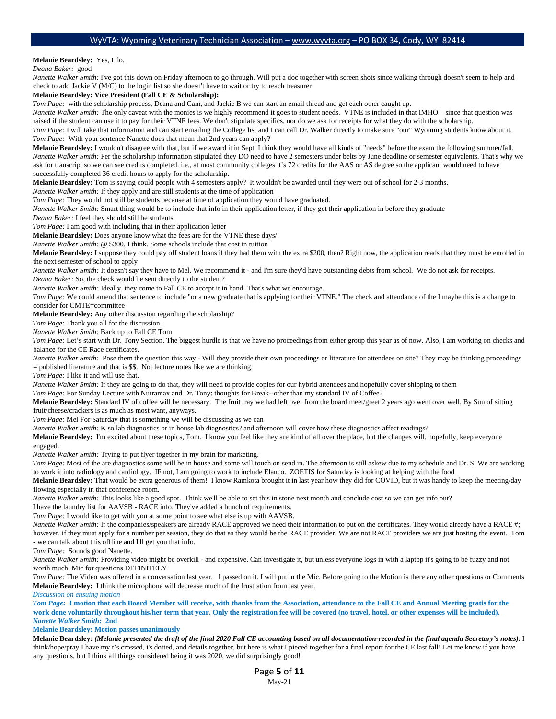#### **Melanie Beardsley:** Yes, I do.

*Deana Baker:* good

*Nanette Walker Smith:* I've got this down on Friday afternoon to go through. Will put a doc together with screen shots since walking through doesn't seem to help and check to add Jackie V (M/C) to the login list so she doesn't have to wait or try to reach treasurer

#### **Melanie Beardsley: Vice President (Fall CE & Scholarship):**

*Tom Page:* with the scholarship process, Deana and Cam, and Jackie B we can start an email thread and get each other caught up.

*Nanette Walker Smith:* The only caveat with the monies is we highly recommend it goes to student needs. VTNE is included in that IMHO – since that question was raised if the student can use it to pay for their VTNE fees. We don't stipulate specifics, nor do we ask for receipts for what they do with the scholarship.

*Tom Page:* I will take that information and can start emailing the College list and I can call Dr. Walker directly to make sure "our" Wyoming students know about it. *Tom Page:* With your sentence Nanette does that mean that 2nd years can apply?

**Melanie Beardsley:** I wouldn't disagree with that, but if we award it in Sept, I think they would have all kinds of "needs" before the exam the following summer/fall. *Nanette Walker Smith:* Per the scholarship information stipulated they DO need to have 2 semesters under belts by June deadline or semester equivalents. That's why we ask for transcript so we can see credits completed. i.e., at most community colleges it's 72 credits for the AAS or AS degree so the applicant would need to have successfully completed 36 credit hours to apply for the scholarship.

**Melanie Beardsley:** Tom is saying could people with 4 semesters apply? It wouldn't be awarded until they were out of school for 2-3 months.

*Nanette Walker Smith:* If they apply and are still students at the time of application

*Tom Page:* They would not still be students because at time of application they would have graduated.

*Nanette Walker Smith:* Smart thing would be to include that info in their application letter, if they get their application in before they graduate

*Deana Baker:* I feel they should still be students.

*Tom Page:* I am good with including that in their application letter

**Melanie Beardsley:** Does anyone know what the fees are for the VTNE these days/

*Nanette Walker Smith:* @ \$300, I think. Some schools include that cost in tuition

**Melanie Beardsley:** I suppose they could pay off student loans if they had them with the extra \$200, then? Right now, the application reads that they must be enrolled in the next semester of school to apply

*Nanette Walker Smith:* It doesn't say they have to Mel. We recommend it - and I'm sure they'd have outstanding debts from school. We do not ask for receipts.

*Deana Baker:* So, the check would be sent directly to the student?

*Nanette Walker Smith:* Ideally, they come to Fall CE to accept it in hand. That's what we encourage.

*Tom Page:* We could amend that sentence to include "or a new graduate that is applying for their VTNE." The check and attendance of the I maybe this is a change to consider for CMTE=committee

**Melanie Beardsley:** Any other discussion regarding the scholarship?

*Tom Page:* Thank you all for the discussion.

*Nanette Walker Smith:* Back up to Fall CE Tom

*Tom Page:* Let's start with Dr. Tony Section. The biggest hurdle is that we have no proceedings from either group this year as of now. Also, I am working on checks and balance for the CE Race certificates.

*Nanette Walker Smith:* Pose them the question this way - Will they provide their own proceedings or literature for attendees on site? They may be thinking proceedings  $=$  published literature and that is \$\$. Not lecture notes like we are thinking.

*Tom Page:* I like it and will use that.

*Nanette Walker Smith:* If they are going to do that, they will need to provide copies for our hybrid attendees and hopefully cover shipping to them

*Tom Page:* For Sunday Lecture with Nutramax and Dr. Tony: thoughts for Break--other than my standard IV of Coffee?

**Melanie Beardsley:** Standard IV of coffee will be necessary. The fruit tray we had left over from the board meet/greet 2 years ago went over well. By Sun of sitting fruit/cheese/crackers is as much as most want, anyways.

*Tom Page:* Mel For Saturday that is something we will be discussing as we can

*Nanette Walker Smith:* K so lab diagnostics or in house lab diagnostics? and afternoon will cover how these diagnostics affect readings?

**Melanie Beardsley:** I'm excited about these topics, Tom. I know you feel like they are kind of all over the place, but the changes will, hopefully, keep everyone engaged.

*Nanette Walker Smith:* Trying to put flyer together in my brain for marketing.

*Tom Page:* Most of the are diagnostics some will be in house and some will touch on send in. The afternoon is still askew due to my schedule and Dr. S. We are working to work it into radiology and cardiology. IF not, I am going to work to include Elanco. ZOETIS for Saturday is looking at helping with the food

**Melanie Beardsley:** That would be extra generous of them! I know Ramkota brought it in last year how they did for COVID, but it was handy to keep the meeting/day flowing especially in that conference room.

*Nanette Walker Smith:* This looks like a good spot. Think we'll be able to set this in stone next month and conclude cost so we can get info out?

I have the laundry list for AAVSB - RACE info. They've added a bunch of requirements.

*Tom Page:* I would like to get with you at some point to see what else is up with AAVSB.

*Nanette Walker Smith:* If the companies/speakers are already RACE approved we need their information to put on the certificates. They would already have a RACE #; however, if they must apply for a number per session, they do that as they would be the RACE provider. We are not RACE providers we are just hosting the event. Tom - we can talk about this offline and I'll get you that info.

*Tom Page:* Sounds good Nanette.

*Nanette Walker Smith:* Providing video might be overkill - and expensive. Can investigate it, but unless everyone logs in with a laptop it's going to be fuzzy and not worth much. Mic for questions DEFINITELY

*Tom Page:* The Video was offered in a conversation last year. I passed on it. I will put in the Mic. Before going to the Motion is there any other questions or Comments **Melanie Beardsley:** I think the microphone will decrease much of the frustration from last year.

*Discussion on ensuing motion*

*Tom Page:* **I motion that each Board Member will receive, with thanks from the Association, attendance to the Fall CE and Annual Meeting gratis for the work done voluntarily throughout his/her term that year. Only the registration fee will be covered (no travel, hotel, or other expenses will be included).** *Nanette Walker Smith:* **2nd**

**Melanie Beardsley: Motion passes unanimously** 

**Melanie Beardsley:** *(Melanie presented the draft of the final 2020 Fall CE accounting based on all documentation-recorded in the final agenda Secretary's notes).* I think/hope/pray I have my t's crossed, i's dotted, and details together, but here is what I pieced together for a final report for the CE last fall! Let me know if you have any questions, but I think all things considered being it was 2020, we did surprisingly good!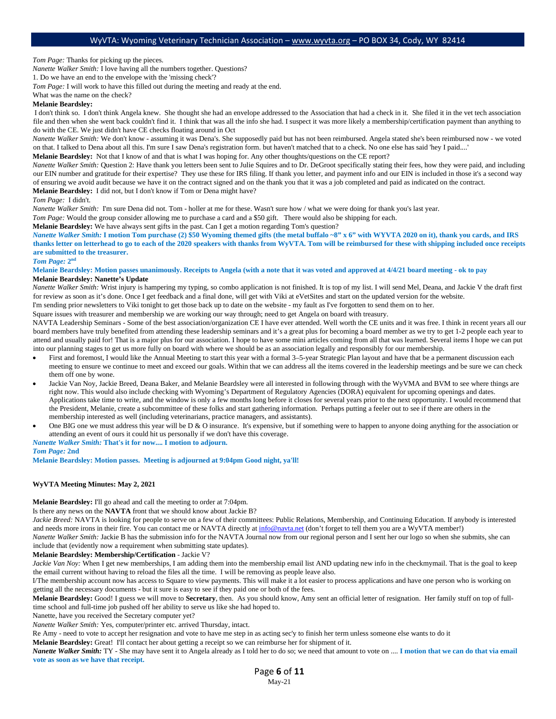*Tom Page:* Thanks for picking up the pieces.

*Nanette Walker Smith:* I love having all the numbers together. Questions?

1. Do we have an end to the envelope with the 'missing check'?

*Tom Page:* I will work to have this filled out during the meeting and ready at the end.

What was the name on the check?

## **Melanie Beardsley:**

I don't think so. I don't think Angela knew. She thought she had an envelope addressed to the Association that had a check in it. She filed it in the vet tech association file and then when she went back couldn't find it. I think that was all the info she had. I suspect it was more likely a membership/certification payment than anything to do with the CE. We just didn't have CE checks floating around in Oct

*Nanette Walker Smith:* We don't know - assuming it was Dena's. She supposedly paid but has not been reimbursed. Angela stated she's been reimbursed now - we voted on that. I talked to Dena about all this. I'm sure I saw Dena's registration form. but haven't matched that to a check. No one else has said 'hey I paid....'

**Melanie Beardsley:** Not that I know of and that is what I was hoping for. Any other thoughts/questions on the CE report?

*Nanette Walker Smith:* Question 2: Have thank you letters been sent to Julie Squires and to Dr. DeGroot specifically stating their fees, how they were paid, and including our EIN number and gratitude for their expertise? They use these for IRS filing. If thank you letter, and payment info and our EIN is included in those it's a second way of ensuring we avoid audit because we have it on the contract signed and on the thank you that it was a job completed and paid as indicated on the contract. **Melanie Beardsley:** I did not, but I don't know if Tom or Dena might have?

#### *Tom Page:* I didn't.

*Nanette Walker Smith:* I'm sure Dena did not. Tom - holler at me for these. Wasn't sure how / what we were doing for thank you's last year.

*Tom Page:* Would the group consider allowing me to purchase a card and a \$50 gift. There would also be shipping for each.

**Melanie Beardsley:** We have always sent gifts in the past. Can I get a motion regarding Tom's question?

*Nanette Walker Smith:* **I motion Tom purchase (2) \$50 Wyoming themed gifts (the metal buffalo ~8" x 6" with WYVTA 2020 on it), thank you cards, and IRS thanks letter on letterhead to go to each of the 2020 speakers with thanks from WyVTA. Tom will be reimbursed for these with shipping included once receipts are submitted to the treasurer.**

#### *Tom Page:* **2nd**

**Melanie Beardsley: Motion passes unanimously. Receipts to Angela (with a note that it was voted and approved at 4/4/21 board meeting - ok to pay Melanie Beardsley: Nanette's Update**

*Nanette Walker Smith:* Wrist injury is hampering my typing, so combo application is not finished. It is top of my list. I will send Mel, Deana, and Jackie V the draft first for review as soon as it's done. Once I get feedback and a final done, will get with Viki at eVetSites and start on the updated version for the website.

I'm sending prior newsletters to Viki tonight to get those back up to date on the website - my fault as I've forgotten to send them on to her.

Square issues with treasurer and membership we are working our way through; need to get Angela on board with treasury.

NAVTA Leadership Seminars - Some of the best association/organization CE I have ever attended. Well worth the CE units and it was free. I think in recent years all our board members have truly benefited from attending these leadership seminars and it's a great plus for becoming a board member as we try to get 1-2 people each year to attend and usually paid for! That is a major plus for our association. I hope to have some mini articles coming from all that was learned. Several items I hope we can put into our planning stages to get us more fully on board with where we should be as an association legally and responsibly for our membership.

- First and foremost, I would like the Annual Meeting to start this year with a formal 3–5-year Strategic Plan layout and have that be a permanent discussion each meeting to ensure we continue to meet and exceed our goals. Within that we can address all the items covered in the leadership meetings and be sure we can check them off one by wone.
- Jackie Van Noy, Jackie Breed, Deana Baker, and Melanie Beardsley were all interested in following through with the WyVMA and BVM to see where things are right now. This would also include checking with Wyoming's Department of Regulatory Agencies (DORA) equivalent for upcoming openings and dates. Applications take time to write, and the window is only a few months long before it closes for several years prior to the next opportunity. I would recommend that the President, Melanie, create a subcommittee of these folks and start gathering information. Perhaps putting a feeler out to see if there are others in the membership interested as well (including veterinarians, practice managers, and assistants).
- One BIG one we must address this year will be  $D \& O$  insurance. It's expensive, but if something were to happen to anyone doing anything for the association or attending an event of ours it could hit us personally if we don't have this coverage.

## *Nanette Walker Smith:* **That's it for now.... I motion to adjourn.**

#### *Tom Page:* **2nd**

**Melanie Beardsley: Motion passes. Meeting is adjourned at 9:04pm Good night, ya'll!**

#### **WyVTA Meeting Minutes: May 2, 2021**

**Melanie Beardsley:** I'll go ahead and call the meeting to order at 7:04pm.

Is there any news on the **NAVTA** front that we should know about Jackie B?

Jackie Breed: NAVTA is looking for people to serve on a few of their committees: Public Relations, Membership, and Continuing Education. If anybody is interested and needs more irons in their fire. You can contact me or NAVTA directly a[t info@navta.net](mailto:info@navta.net) (don't forget to tell them you are a WyVTA member!)

*Nanette Walker Smith:* Jackie B has the submission info for the NAVTA Journal now from our regional person and I sent her our logo so when she submits, she can include that (evidently now a requirement when submitting state updates).

#### **Melanie Beardsley: Membership/Certification** - Jackie V?

*Jackie Van Noy:* When I get new memberships, I am adding them into the membership email list AND updating new info in the checkmymail. That is the goal to keep the email current without having to reload the files all the time. I will be removing as people leave also.

I/The membership account now has access to Square to view payments. This will make it a lot easier to process applications and have one person who is working on getting all the necessary documents - but it sure is easy to see if they paid one or both of the fees.

**Melanie Beardsley:** Good! I guess we will move to **Secretary**, then. As you should know, Amy sent an official letter of resignation. Her family stuff on top of fulltime school and full-time job pushed off her ability to serve us like she had hoped to.

Nanette, have you received the Secretary computer yet?

*Nanette Walker Smith:* Yes, computer/printer etc. arrived Thursday, intact.

Re Amy - need to vote to accept her resignation and vote to have me step in as acting sec'y to finish her term unless someone else wants to do it

**Melanie Beardsley:** Great! I'll contact her about getting a receipt so we can reimburse her for shipment of it.

*Nanette Walker Smith:* TY - She may have sent it to Angela already as I told her to do so; we need that amount to vote on .... **I motion that we can do that via email vote as soon as we have that receipt.**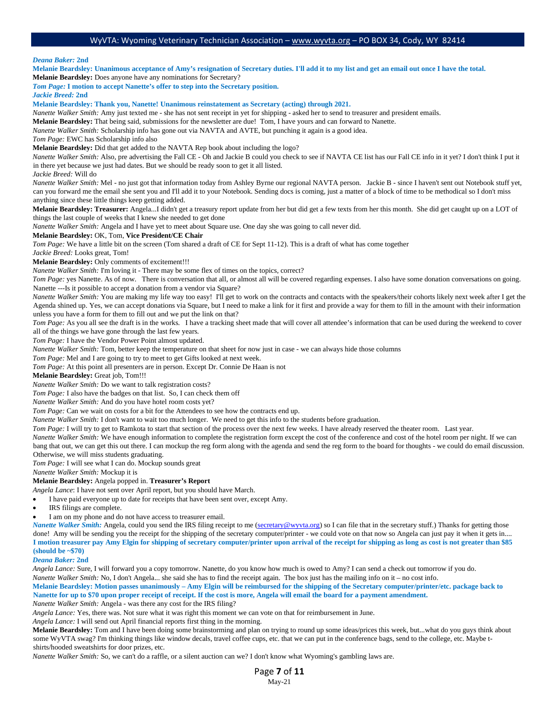*Deana Baker:* **2nd**

**Melanie Beardsley: Unanimous acceptance of Amy's resignation of Secretary duties. I'll add it to my list and get an email out once I have the total. Melanie Beardsley:** Does anyone have any nominations for Secretary?

*Tom Page:* **I motion to accept Nanette's offer to step into the Secretary position.**

*Jackie Breed:* **2nd**

### **Melanie Beardsley: Thank you, Nanette! Unanimous reinstatement as Secretary (acting) through 2021.**

*Nanette Walker Smith:* Amy just texted me - she has not sent receipt in yet for shipping - asked her to send to treasurer and president emails.

**Melanie Beardsley:** That being said, submissions for the newsletter are due! Tom, I have yours and can forward to Nanette.

*Nanette Walker Smith:* Scholarship info has gone out via NAVTA and AVTE, but punching it again is a good idea.

*Tom Page:* EWC has Scholarship info also

**Melanie Beardsley:** Did that get added to the NAVTA Rep book about including the logo?

*Nanette Walker Smith:* Also, pre advertising the Fall CE - Oh and Jackie B could you check to see if NAVTA CE list has our Fall CE info in it yet? I don't think I put it in there yet because we just had dates. But we should be ready soon to get it all listed.

*Jackie Breed:* Will do

*Nanette Walker Smith: Mel - no just got that information today from Ashley Byrne our regional NAVTA person. Jackie B - since I haven't sent out Notebook stuff yet,* can you forward me the email she sent you and I'll add it to your Notebook. Sending docs is coming, just a matter of a block of time to be methodical so I don't miss anything since these little things keep getting added.

**Melanie Beardsley: Treasurer:** Angela...I didn't get a treasury report update from her but did get a few texts from her this month. She did get caught up on a LOT of things the last couple of weeks that I knew she needed to get done

*Nanette Walker Smith:* Angela and I have yet to meet about Square use. One day she was going to call never did.

#### **Melanie Beardsley:** OK, Tom, **Vice President/CE Chair**

*Tom Page:* We have a little bit on the screen (Tom shared a draft of CE for Sept 11-12). This is a draft of what has come together

*Jackie Breed:* Looks great, Tom!

**Melanie Beardsley:** Only comments of excitement!!!

*Nanette Walker Smith:* I'm loving it - There may be some flex of times on the topics, correct?

*Tom Page:* yes Nanette. As of now. There is conversation that all, or almost all will be covered regarding expenses. I also have some donation conversations on going. Nanette ---Is it possible to accept a donation from a vendor via Square?

*Nanette Walker Smith:* You are making my life way too easy! I'll get to work on the contracts and contacts with the speakers/their cohorts likely next week after I get the Agenda shined up. Yes, we can accept donations via Square, but I need to make a link for it first and provide a way for them to fill in the amount with their information unless you have a form for them to fill out and we put the link on that?

*Tom Page:* As you all see the draft is in the works. I have a tracking sheet made that will cover all attendee's information that can be used during the weekend to cover all of the things we have gone through the last few years.

*Tom Page:* I have the Vendor Power Point almost updated.

*Nanette Walker Smith:* Tom, better keep the temperature on that sheet for now just in case - we can always hide those columns

*Tom Page:* Mel and I are going to try to meet to get Gifts looked at next week.

*Tom Page:* At this point all presenters are in person. Except Dr. Connie De Haan is not

**Melanie Beardsley:** Great job, Tom!!!

*Nanette Walker Smith:* Do we want to talk registration costs?

*Tom Page:* I also have the badges on that list. So, I can check them off

*Nanette Walker Smith:* And do you have hotel room costs yet?

*Tom Page:* Can we wait on costs for a bit for the Attendees to see how the contracts end up.

*Nanette Walker Smith:* I don't want to wait too much longer. We need to get this info to the students before graduation.

*Tom Page:* I will try to get to Ramkota to start that section of the process over the next few weeks. I have already reserved the theater room. Last year.

*Nanette Walker Smith:* We have enough information to complete the registration form except the cost of the conference and cost of the hotel room per night. If we can bang that out, we can get this out there. I can mockup the reg form along with the agenda and send the reg form to the board for thoughts - we could do email discussion. Otherwise, we will miss students graduating.

*Tom Page:* I will see what I can do. Mockup sounds great

*Nanette Walker Smith:* Mockup it is

**Melanie Beardsley:** Angela popped in. **Treasurer's Report**

*Angela Lance*: I have not sent over April report, but you should have March.

- I have paid everyone up to date for receipts that have been sent over, except Amy.
- IRS filings are complete.
- I am on my phone and do not have access to treasurer email.

*Nanette Walker Smith:* Angela, could you send the IRS filing receipt to me [\(secretary@wyvta.org\)](mailto:secretary@wyvta.org) so I can file that in the secretary stuff.) Thanks for getting those done! Amy will be sending you the receipt for the shipping of the secretary computer/printer - we could vote on that now so Angela can just pay it when it gets in.... **I motion treasurer pay Amy Elgin for shipping of secretary computer/printer upon arrival of the receipt for shipping as long as cost is not greater than \$85 (should be ~\$70)**

#### *Deana Baker:* **2nd**

*Angela Lance:* Sure, I will forward you a copy tomorrow. Nanette, do you know how much is owed to Amy? I can send a check out tomorrow if you do.

*Nanette Walker Smith:* No, I don't Angela... she said she has to find the receipt again. The box just has the mailing info on it – no cost info.

**Melanie Beardsley: Motion passes unanimously – Amy Elgin will be reimbursed for the shipping of the Secretary computer/printer/etc. package back to Nanette for up to \$70 upon proper receipt of receipt. If the cost is more, Angela will email the board for a payment amendment.** 

*Nanette Walker Smith:* Angela - was there any cost for the IRS filing?

*Angela Lance:* Yes, there was. Not sure what it was right this moment we can vote on that for reimbursement in June.

*Angela Lance:* I will send out April financial reports first thing in the morning.

**Melanie Beardsley:** Tom and I have been doing some brainstorming and plan on trying to round up some ideas/prices this week, but...what do you guys think about some WyVTA swag? I'm thinking things like window decals, travel coffee cups, etc. that we can put in the conference bags, send to the college, etc. Maybe tshirts/hooded sweatshirts for door prizes, etc.

*Nanette Walker Smith:* So, we can't do a raffle, or a silent auction can we? I don't know what Wyoming's gambling laws are.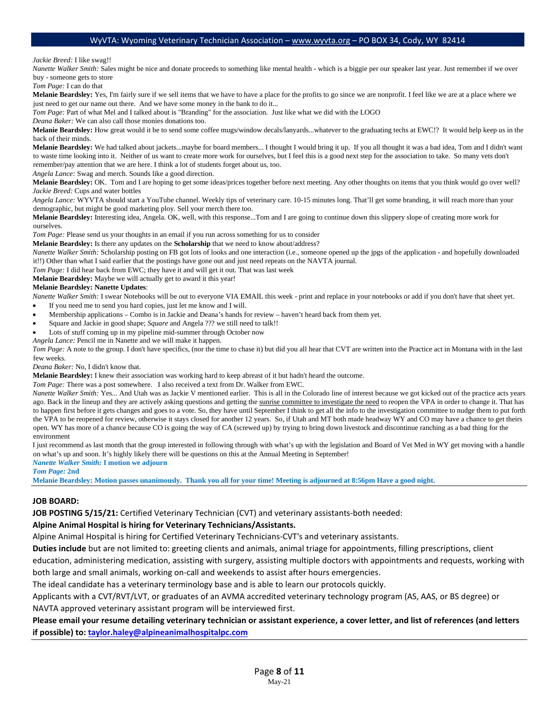#### *Jackie Breed:* I like swag!!

*Nanette Walker Smith:* Sales might be nice and donate proceeds to something like mental health - which is a biggie per our speaker last year. Just remember if we over buy - someone gets to store

*Tom Page:* I can do that

**Melanie Beardsley:** Yes, I'm fairly sure if we sell items that we have to have a place for the profits to go since we are nonprofit. I feel like we are at a place where we just need to get our name out there. And we have some money in the bank to do it...

*Tom Page:* Part of what Mel and I talked about is "Branding" for the association. Just like what we did with the LOGO

*Deana Baker:* We can also call those monies donations too.

Melanie Beardsley: How great would it be to send some coffee mugs/window decals/lanyards...whatever to the graduating techs at EWC!? It would help keep us in the back of their minds.

**Melanie Beardsley:** We had talked about jackets...maybe for board members... I thought I would bring it up. If you all thought it was a bad idea, Tom and I didn't want to waste time looking into it. Neither of us want to create more work for ourselves, but I feel this is a good next step for the association to take. So many vets don't remember/pay attention that we are here. I think a lot of students forget about us, too.

*Angela Lance:* Swag and merch. Sounds like a good direction.

**Melanie Beardsley:** OK. Tom and I are hoping to get some ideas/prices together before next meeting. Any other thoughts on items that you think would go over well? *Jackie Breed:* Cups and water bottles

*Angela Lance:* WYVTA should start a YouTube channel. Weekly tips of veterinary care. 10-15 minutes long. That'll get some branding, it will reach more than your demographic, but might be good marketing ploy. Sell your merch there too.

**Melanie Beardsley:** Interesting idea, Angela. OK, well, with this response...Tom and I are going to continue down this slippery slope of creating more work for ourselves.

*Tom Page:* Please send us your thoughts in an email if you run across something for us to consider

**Melanie Beardsley:** Is there any updates on the **Scholarship** that we need to know about/address?

*Nanette Walker Smith:* Scholarship posting on FB got lots of looks and one interaction (i.e., someone opened up the jpgs of the application - and hopefully downloaded it!!) Other than what I said earlier that the postings have gone out and just need repeats on the NAVTA journal.

*Tom Page:* I did hear back from EWC; they have it and will get it out. That was last week

**Melanie Beardsley:** Maybe we will actually get to award it this year!

### **Melanie Beardsley: Nanette Updates**:

- *Nanette Walker Smith:* I swear Notebooks will be out to everyone VIA EMAIL this week print and replace in your notebooks or add if you don't have that sheet yet.
- If you need me to send you hard copies, just let me know and I will.
- Membership applications Combo is in Jackie and Deana's hands for review haven't heard back from them yet.
- Square and Jackie in good shape; *Square* and Angela ??? we still need to talk!!

Lots of stuff coming up in my pipeline mid-summer through October now

*Angela Lance:* Pencil me in Nanette and we will make it happen.

*Tom Page:* A note to the group. I don't have specifics, (nor the time to chase it) but did you all hear that CVT are written into the Practice act in Montana with in the last few weeks.

*Deana Baker:* No, I didn't know that.

**Melanie Beardsley:** I knew their association was working hard to keep abreast of it but hadn't heard the outcome.

*Tom Page:* There was a post somewhere. I also received a text from Dr. Walker from EWC.

*Nanette Walker Smith:* Yes... And Utah was as Jackie V mentioned earlier. This is all in the Colorado line of interest because we got kicked out of the practice acts years ago. Back in the lineup and they are actively asking questions and getting the sunrise committee to investigate the need to reopen the VPA in order to change it. That has to happen first before it gets changes and goes to a vote. So, they have until September I think to get all the info to the investigation committee to nudge them to put forth the VPA to be reopened for review, otherwise it stays closed for another 12 years. So, if Utah and MT both made headway WY and CO may have a chance to get theirs open. WY has more of a chance because CO is going the way of CA (screwed up) by trying to bring down livestock and discontinue ranching as a bad thing for the environment

I just recommend as last month that the group interested in following through with what's up with the legislation and Board of Vet Med in WY get moving with a handle on what's up and soon. It's highly likely there will be questions on this at the Annual Meeting in September!

*Nanette Walker Smith:* **I motion we adjourn**

*Tom Page:* **2nd**

**Melanie Beardsley: Motion passes unanimously. Thank you all for your time! Meeting is adjourned at 8:56pm Have a good night.**

### **JOB BOARD:**

**JOB POSTING 5/15/21:** Certified Veterinary Technician (CVT) and veterinary assistants-both needed:

### **Alpine Animal Hospital is hiring for Veterinary Technicians/Assistants.**

Alpine Animal Hospital is hiring for Certified Veterinary Technicians-CVT's and veterinary assistants.

**Duties include** but are not limited to: greeting clients and animals, animal triage for appointments, filling prescriptions, client

education, administering medication, assisting with surgery, assisting multiple doctors with appointments and requests, working with both large and small animals, working on-call and weekends to assist after hours emergencies.

The ideal candidate has a veterinary terminology base and is able to learn our protocols quickly.

Applicants with a CVT/RVT/LVT, or graduates of an AVMA accredited veterinary technology program (AS, AAS, or BS degree) or

NAVTA approved veterinary assistant program will be interviewed first.

## **Please email your resume detailing veterinary technician or assistant experience, a cover letter, and list of references (and letters if possible) to: [taylor.haley@alpineanimalhospitalpc.com](mailto:taylor.haley@alpineanimalhospitalpc.com)**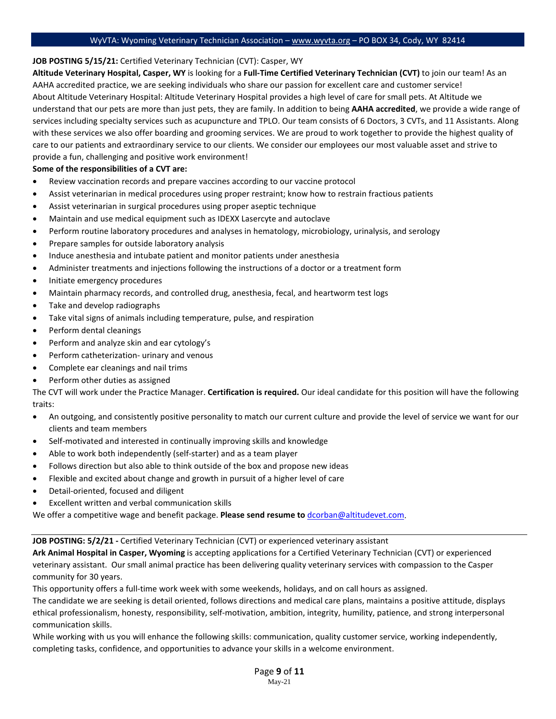## **JOB POSTING 5/15/21:** Certified Veterinary Technician (CVT): Casper, WY

**Altitude Veterinary Hospital, Casper, WY** is looking for a **Full-Time Certified Veterinary Technician (CVT)** to join our team! As an AAHA accredited practice, we are seeking individuals who share our passion for excellent care and customer service! About Altitude Veterinary Hospital: Altitude Veterinary Hospital provides a high level of care for small pets. At Altitude we understand that our pets are more than just pets, they are family. In addition to being **AAHA accredited**, we provide a wide range of services including specialty services such as acupuncture and TPLO. Our team consists of 6 Doctors, 3 CVTs, and 11 Assistants. Along with these services we also offer boarding and grooming services. We are proud to work together to provide the highest quality of care to our patients and extraordinary service to our clients. We consider our employees our most valuable asset and strive to provide a fun, challenging and positive work environment!

## **Some of the responsibilities of a CVT are:**

- Review vaccination records and prepare vaccines according to our vaccine protocol
- Assist veterinarian in medical procedures using proper restraint; know how to restrain fractious patients
- Assist veterinarian in surgical procedures using proper aseptic technique
- Maintain and use medical equipment such as IDEXX Lasercyte and autoclave
- Perform routine laboratory procedures and analyses in hematology, microbiology, urinalysis, and serology
- Prepare samples for outside laboratory analysis
- Induce anesthesia and intubate patient and monitor patients under anesthesia
- Administer treatments and injections following the instructions of a doctor or a treatment form
- Initiate emergency procedures
- Maintain pharmacy records, and controlled drug, anesthesia, fecal, and heartworm test logs
- Take and develop radiographs
- Take vital signs of animals including temperature, pulse, and respiration
- Perform dental cleanings
- Perform and analyze skin and ear cytology's
- Perform catheterization- urinary and venous
- Complete ear cleanings and nail trims
- Perform other duties as assigned

The CVT will work under the Practice Manager. **Certification is required.** Our ideal candidate for this position will have the following traits:

- An outgoing, and consistently positive personality to match our current culture and provide the level of service we want for our clients and team members
- Self-motivated and interested in continually improving skills and knowledge
- Able to work both independently (self-starter) and as a team player
- Follows direction but also able to think outside of the box and propose new ideas
- Flexible and excited about change and growth in pursuit of a higher level of care
- Detail-oriented, focused and diligent
- Excellent written and verbal communication skills

We offer a competitive wage and benefit package. **Please send resume to** [dcorban@altitudevet.com.](mailto:dcorban@altitudevet.com) 

## **JOB POSTING: 5/2/21 -** Certified Veterinary Technician (CVT) or experienced veterinary assistant

**Ark Animal Hospital in Casper, Wyoming** is accepting applications for a Certified Veterinary Technician (CVT) or experienced veterinary assistant. Our small animal practice has been delivering quality veterinary services with compassion to the Casper community for 30 years.

This opportunity offers a full-time work week with some weekends, holidays, and on call hours as assigned.

The candidate we are seeking is detail oriented, follows directions and medical care plans, maintains a positive attitude, displays ethical professionalism, honesty, responsibility, self-motivation, ambition, integrity, humility, patience, and strong interpersonal communication skills.

While working with us you will enhance the following skills: communication, quality customer service, working independently, completing tasks, confidence, and opportunities to advance your skills in a welcome environment.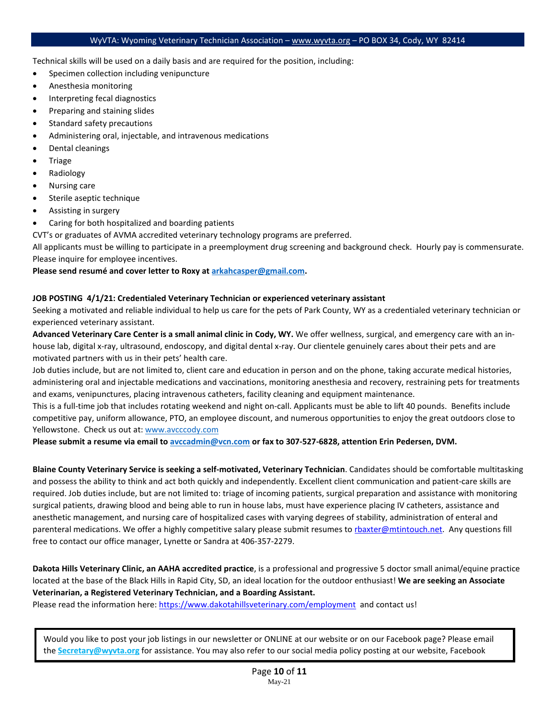Technical skills will be used on a daily basis and are required for the position, including:

- Specimen collection including venipuncture
- Anesthesia monitoring
- Interpreting fecal diagnostics
- Preparing and staining slides
- Standard safety precautions
- Administering oral, injectable, and intravenous medications
- Dental cleanings
- **Triage**
- Radiology
- Nursing care
- Sterile aseptic technique
- Assisting in surgery
- Caring for both hospitalized and boarding patients

CVT's or graduates of AVMA accredited veterinary technology programs are preferred.

All applicants must be willing to participate in a preemployment drug screening and background check. Hourly pay is commensurate. Please inquire for employee incentives.

## **Please send resumé and cover letter to Roxy at [arkahcasper@gmail.com.](mailto:arkahcasper@gmail.com)**

## **JOB POSTING 4/1/21: Credentialed Veterinary Technician or experienced veterinary assistant**

Seeking a motivated and reliable individual to help us care for the pets of Park County, WY as a credentialed veterinary technician or experienced veterinary assistant.

**Advanced Veterinary Care Center is a small animal clinic in Cody, WY.** We offer wellness, surgical, and emergency care with an inhouse lab, digital x-ray, ultrasound, endoscopy, and digital dental x-ray. Our clientele genuinely cares about their pets and are motivated partners with us in their pets' health care.

Job duties include, but are not limited to, client care and education in person and on the phone, taking accurate medical histories, administering oral and injectable medications and vaccinations, monitoring anesthesia and recovery, restraining pets for treatments and exams, venipunctures, placing intravenous catheters, facility cleaning and equipment maintenance.

This is a full-time job that includes rotating weekend and night on-call. Applicants must be able to lift 40 pounds. Benefits include competitive pay, uniform allowance, PTO, an employee discount, and numerous opportunities to enjoy the great outdoors close to Yellowstone. Check us out at: www.avcccody.com

**Please submit a resume via email t[o avccadmin@vcn.com](mailto:avccadmin@vcn.com) or fax to 307-527-6828, attention Erin Pedersen, DVM.**

**Blaine County Veterinary Service is seeking a self-motivated, Veterinary Technician**. Candidates should be comfortable multitasking and possess the ability to think and act both quickly and independently. Excellent client communication and patient-care skills are required. Job duties include, but are not limited to: triage of incoming patients, surgical preparation and assistance with monitoring surgical patients, drawing blood and being able to run in house labs, must have experience placing IV catheters, assistance and anesthetic management, and nursing care of hospitalized cases with varying degrees of stability, administration of enteral and parenteral medications. We offer a highly competitive salary please submit resumes t[o rbaxter@mtintouch.net.](mailto:rbaxter@mtintouch.net) Any questions fill free to contact our office manager, Lynette or Sandra at 406-357-2279.

**Dakota Hills Veterinary Clinic, an AAHA accredited practice**, is a professional and progressive 5 doctor small animal/equine practice located at the base of the Black Hills in Rapid City, SD, an ideal location for the outdoor enthusiast! **We are seeking an Associate Veterinarian, a Registered Veterinary Technician, and a Boarding Assistant.**

Please read the information here:<https://www.dakotahillsveterinary.com/employment>and contact us!

Would you like to post your job listings in our newsletter or ONLINE at our website or on our Facebook page? Please email the **Secretary@wyvta.org** for assistance. You may also refer to our social media policy posting at our website, Facebook